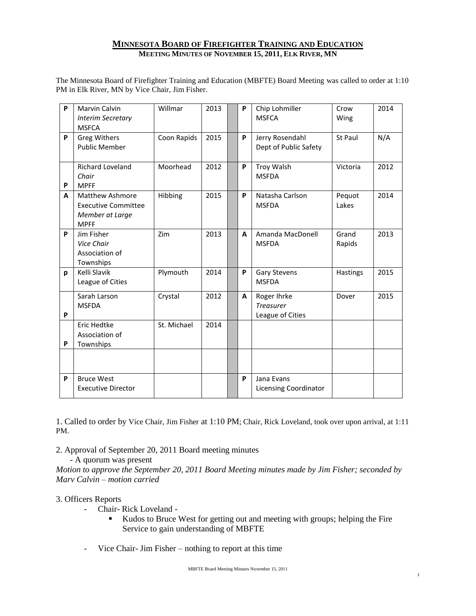### **MINNESOTA BOARD OF FIREFIGHTER TRAINING AND EDUCATION MEETING MINUTES OF NOVEMBER 15, 2011, ELK RIVER, MN**

The Minnesota Board of Firefighter Training and Education (MBFTE) Board Meeting was called to order at 1:10 PM in Elk River, MN by Vice Chair, Jim Fisher.

| P | <b>Marvin Calvin</b><br><b>Interim Secretary</b><br><b>MSFCA</b>                       | Willmar     | 2013 | P | Chip Lohmiller<br><b>MSFCA</b>                      | Crow<br>Wing    | 2014 |
|---|----------------------------------------------------------------------------------------|-------------|------|---|-----------------------------------------------------|-----------------|------|
| P | <b>Greg Withers</b><br><b>Public Member</b>                                            | Coon Rapids | 2015 | P | Jerry Rosendahl<br>Dept of Public Safety            | St Paul         | N/A  |
| P | <b>Richard Loveland</b><br>Chair<br><b>MPFF</b>                                        | Moorhead    | 2012 | P | <b>Troy Walsh</b><br><b>MSFDA</b>                   | Victoria        | 2012 |
| A | <b>Matthew Ashmore</b><br><b>Executive Committee</b><br>Member at Large<br><b>MPFF</b> | Hibbing     | 2015 | P | Natasha Carlson<br><b>MSFDA</b>                     | Pequot<br>Lakes | 2014 |
| P | Jim Fisher<br>Vice Chair<br>Association of<br>Townships                                | Zim         | 2013 | A | Amanda MacDonell<br><b>MSFDA</b>                    | Grand<br>Rapids | 2013 |
| p | Kelli Slavik<br>League of Cities                                                       | Plymouth    | 2014 | P | <b>Gary Stevens</b><br><b>MSFDA</b>                 | Hastings        | 2015 |
| P | Sarah Larson<br><b>MSFDA</b>                                                           | Crystal     | 2012 | A | Roger Ihrke<br><b>Treasurer</b><br>League of Cities | Dover           | 2015 |
| P | Eric Hedtke<br>Association of<br>Townships                                             | St. Michael | 2014 |   |                                                     |                 |      |
|   |                                                                                        |             |      |   |                                                     |                 |      |
| P | <b>Bruce West</b><br><b>Executive Director</b>                                         |             |      | P | Jana Evans<br><b>Licensing Coordinator</b>          |                 |      |

1. Called to order by Vice Chair, Jim Fisher at 1:10 PM; Chair, Rick Loveland, took over upon arrival, at 1:11 PM.

2. Approval of September 20, 2011 Board meeting minutes

- A quorum was present

*Motion to approve the September 20, 2011 Board Meeting minutes made by Jim Fisher; seconded by Marv Calvin – motion carried*

## 3. Officers Reports

- Chair- Rick Loveland
	- Kudos to Bruce West for getting out and meeting with groups; helping the Fire Service to gain understanding of MBFTE
- Vice Chair- Jim Fisher nothing to report at this time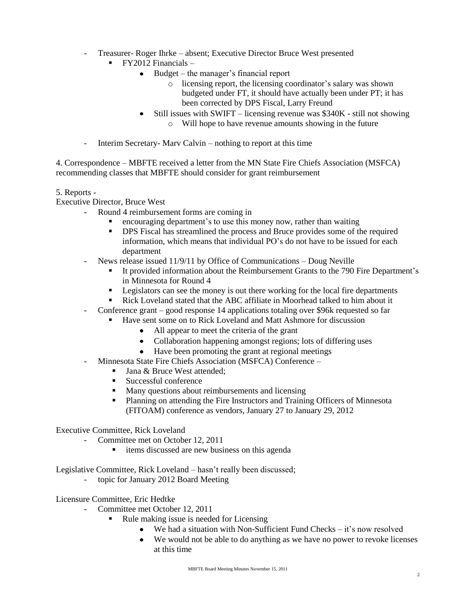- Treasurer- Roger Ihrke absent; Executive Director Bruce West presented
	- $\blacksquare$  FY2012 Financials
		- Budget the manager's financial report
			- o licensing report, the licensing coordinator's salary was shown budgeted under FT, it should have actually been under PT; it has been corrected by DPS Fiscal, Larry Freund
		- Still issues with SWIFT licensing revenue was \$340K still not showing  $\bullet$ 
			- o Will hope to have revenue amounts showing in the future
- Interim Secretary- Marv Calvin nothing to report at this time

4. Correspondence – MBFTE received a letter from the MN State Fire Chiefs Association (MSFCA) recommending classes that MBFTE should consider for grant reimbursement

### 5. Reports -

Executive Director, Bruce West

- Round 4 reimbursement forms are coming in
	- encouraging department's to use this money now, rather than waiting
	- **DPS** Fiscal has streamlined the process and Bruce provides some of the required information, which means that individual PO's do not have to be issued for each department
- News release issued 11/9/11 by Office of Communications Doug Neville
	- It provided information about the Reimbursement Grants to the 790 Fire Department's in Minnesota for Round 4
	- **EXECUTE:** Legislators can see the money is out there working for the local fire departments
	- Rick Loveland stated that the ABC affiliate in Moorhead talked to him about it
- Conference grant good response 14 applications totaling over \$96k requested so far
	- Have sent some on to Rick Loveland and Matt Ashmore for discussion
		- All appear to meet the criteria of the grant
		- Collaboration happening amongst regions; lots of differing uses
		- Have been promoting the grant at regional meetings
- Minnesota State Fire Chiefs Association (MSFCA) Conference
	- Jana & Bruce West attended:
	- Successful conference
	- **Many questions about reimbursements and licensing**
	- **Planning on attending the Fire Instructors and Training Officers of Minnesota** (FITOAM) conference as vendors, January 27 to January 29, 2012

#### Executive Committee, Rick Loveland

- Committee met on October 12, 2011
	- **i** items discussed are new business on this agenda

Legislative Committee, Rick Loveland – hasn't really been discussed;

topic for January 2012 Board Meeting

Licensure Committee, Eric Hedtke

- Committee met October 12, 2011
	- Rule making issue is needed for Licensing
		- We had a situation with Non-Sufficient Fund Checks it's now resolved
		- We would not be able to do anything as we have no power to revoke licenses at this time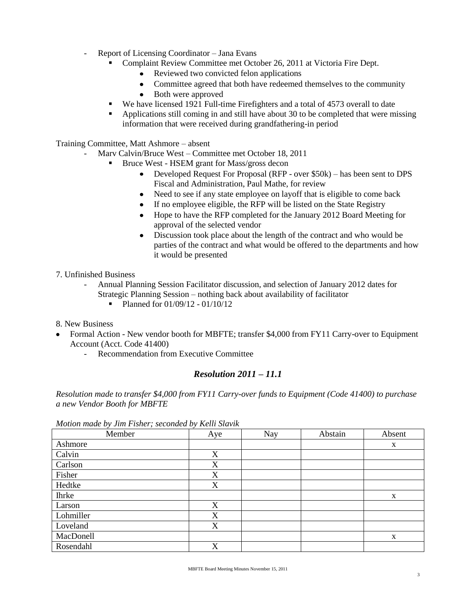- Report of Licensing Coordinator Jana Evans
	- Complaint Review Committee met October 26, 2011 at Victoria Fire Dept.
		- Reviewed two convicted felon applications
		- Committee agreed that both have redeemed themselves to the community
		- Both were approved
	- We have licensed 1921 Full-time Firefighters and a total of 4573 overall to date
	- Applications still coming in and still have about 30 to be completed that were missing information that were received during grandfathering-in period

Training Committee, Matt Ashmore – absent

- Marv Calvin/Bruce West Committee met October 18, 2011
	- **Bruce West HSEM grant for Mass/gross decon** 
		- Developed Request For Proposal (RFP over \$50k) has been sent to DPS Fiscal and Administration, Paul Mathe, for review
		- Need to see if any state employee on layoff that is eligible to come back
		- If no employee eligible, the RFP will be listed on the State Registry
		- Hope to have the RFP completed for the January 2012 Board Meeting for approval of the selected vendor
		- Discussion took place about the length of the contract and who would be  $\bullet$ parties of the contract and what would be offered to the departments and how it would be presented
- 7. Unfinished Business
	- Annual Planning Session Facilitator discussion, and selection of January 2012 dates for Strategic Planning Session – nothing back about availability of facilitator
		- $\blacksquare$  Planned for 01/09/12 01/10/12
- 8. New Business
- Formal Action New vendor booth for MBFTE; transfer \$4,000 from FY11 Carry-over to Equipment Account (Acct. Code 41400)
	- Recommendation from Executive Committee

# *Resolution 2011 – 11.1*

*Resolution made to transfer \$4,000 from FY11 Carry-over funds to Equipment (Code 41400) to purchase a new Vendor Booth for MBFTE*

| Motion made by Jim Fisher; seconded by Kelli Slavik |  |  |  |  |  |  |  |  |
|-----------------------------------------------------|--|--|--|--|--|--|--|--|
|-----------------------------------------------------|--|--|--|--|--|--|--|--|

| Member       | Aye | Nay | Abstain | Absent |
|--------------|-----|-----|---------|--------|
| Ashmore      |     |     |         | X      |
| Calvin       | X   |     |         |        |
| Carlson      | X   |     |         |        |
| Fisher       | X   |     |         |        |
| Hedtke       | X   |     |         |        |
| <b>Ihrke</b> |     |     |         | X      |
| Larson       | X   |     |         |        |
| Lohmiller    | X   |     |         |        |
| Loveland     | X   |     |         |        |
| MacDonell    |     |     |         | X      |
| Rosendahl    | X   |     |         |        |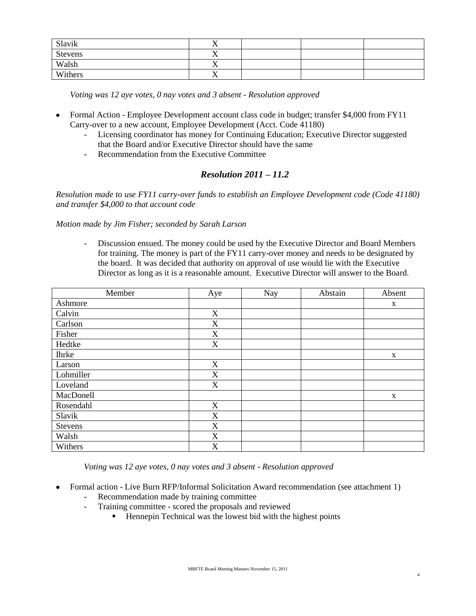| Slavik         | $\mathbf{v}$<br>$\overline{ }$ |  |  |
|----------------|--------------------------------|--|--|
| <b>Stevens</b> | $\mathbf{v}$<br>$\overline{ }$ |  |  |
| Walsh          | $\mathbf{v}$<br>$\Lambda$      |  |  |
| Withers        | $\mathbf{v}$<br>$\Lambda$      |  |  |

*Voting was 12 aye votes, 0 nay votes and 3 absent - Resolution approved*

- Formal Action Employee Development account class code in budget; transfer \$4,000 from FY11  $\bullet$ Carry-over to a new account, Employee Development (Acct. Code 41180)
	- Licensing coordinator has money for Continuing Education; Executive Director suggested that the Board and/or Executive Director should have the same
	- Recommendation from the Executive Committee

# *Resolution 2011 – 11.2*

*Resolution made to use FY11 carry-over funds to establish an Employee Development code (Code 41180) and transfer \$4,000 to that account code*

*Motion made by Jim Fisher; seconded by Sarah Larson*

- Discussion ensued. The money could be used by the Executive Director and Board Members for training. The money is part of the FY11 carry-over money and needs to be designated by the board. It was decided that authority on approval of use would lie with the Executive Director as long as it is a reasonable amount. Executive Director will answer to the Board.

| Member       | Aye                       | <b>Nay</b> | Abstain | Absent      |
|--------------|---------------------------|------------|---------|-------------|
| Ashmore      |                           |            |         | X           |
| Calvin       | X                         |            |         |             |
| Carlson      | $\boldsymbol{\mathrm{X}}$ |            |         |             |
| Fisher       | $\boldsymbol{\mathrm{X}}$ |            |         |             |
| Hedtke       | X                         |            |         |             |
| <b>Ihrke</b> |                           |            |         | X           |
| Larson       | X                         |            |         |             |
| Lohmiller    | X                         |            |         |             |
| Loveland     | X                         |            |         |             |
| MacDonell    |                           |            |         | $\mathbf X$ |
| Rosendahl    | X                         |            |         |             |
| Slavik       | X                         |            |         |             |
| Stevens      | $\boldsymbol{\mathrm{X}}$ |            |         |             |
| Walsh        | X                         |            |         |             |
| Withers      | X                         |            |         |             |

*Voting was 12 aye votes, 0 nay votes and 3 absent - Resolution approved*

- Formal action Live Burn RFP/Informal Solicitation Award recommendation (see attachment 1)
	- Recommendation made by training committee

 $\bullet$ 

- Training committee scored the proposals and reviewed
	- $\blacksquare$  Hennepin Technical was the lowest bid with the highest points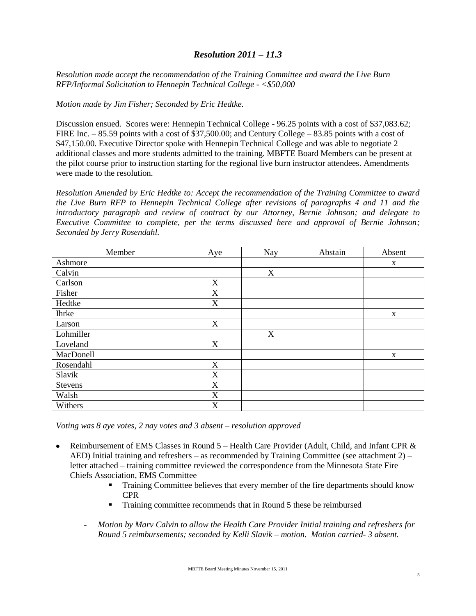## *Resolution 2011 – 11.3*

*Resolution made accept the recommendation of the Training Committee and award the Live Burn RFP/Informal Solicitation to Hennepin Technical College - <\$50,000*

*Motion made by Jim Fisher; Seconded by Eric Hedtke.* 

Discussion ensued. Scores were: Hennepin Technical College - 96.25 points with a cost of \$37,083.62; FIRE Inc. – 85.59 points with a cost of \$37,500.00; and Century College – 83.85 points with a cost of \$47,150.00. Executive Director spoke with Hennepin Technical College and was able to negotiate 2 additional classes and more students admitted to the training. MBFTE Board Members can be present at the pilot course prior to instruction starting for the regional live burn instructor attendees. Amendments were made to the resolution.

*Resolution Amended by Eric Hedtke to: Accept the recommendation of the Training Committee to award the Live Burn RFP to Hennepin Technical College after revisions of paragraphs 4 and 11 and the introductory paragraph and review of contract by our Attorney, Bernie Johnson; and delegate to Executive Committee to complete, per the terms discussed here and approval of Bernie Johnson; Seconded by Jerry Rosendahl.*

| Member         | Aye                       | <b>Nay</b> | Abstain | Absent      |
|----------------|---------------------------|------------|---------|-------------|
| Ashmore        |                           |            |         | $\mathbf X$ |
| Calvin         |                           | X          |         |             |
| Carlson        | X                         |            |         |             |
| Fisher         | $\boldsymbol{\mathrm{X}}$ |            |         |             |
| Hedtke         | X                         |            |         |             |
| <b>Ihrke</b>   |                           |            |         | X           |
| Larson         | X                         |            |         |             |
| Lohmiller      |                           | X          |         |             |
| Loveland       | X                         |            |         |             |
| MacDonell      |                           |            |         | $\mathbf X$ |
| Rosendahl      | X                         |            |         |             |
| Slavik         | X                         |            |         |             |
| <b>Stevens</b> | $\mathbf X$               |            |         |             |
| Walsh          | X                         |            |         |             |
| Withers        | X                         |            |         |             |

*Voting was 8 aye votes, 2 nay votes and 3 absent – resolution approved*

- Reimbursement of EMS Classes in Round  $5$  Health Care Provider (Adult, Child, and Infant CPR  $\&$ AED) Initial training and refreshers – as recommended by Training Committee (see attachment 2) – letter attached – training committee reviewed the correspondence from the Minnesota State Fire Chiefs Association, EMS Committee
	- Training Committee believes that every member of the fire departments should know CPR
	- Training committee recommends that in Round 5 these be reimbursed
	- *Motion by Marv Calvin to allow the Health Care Provider Initial training and refreshers for Round 5 reimbursements; seconded by Kelli Slavik – motion. Motion carried- 3 absent.*